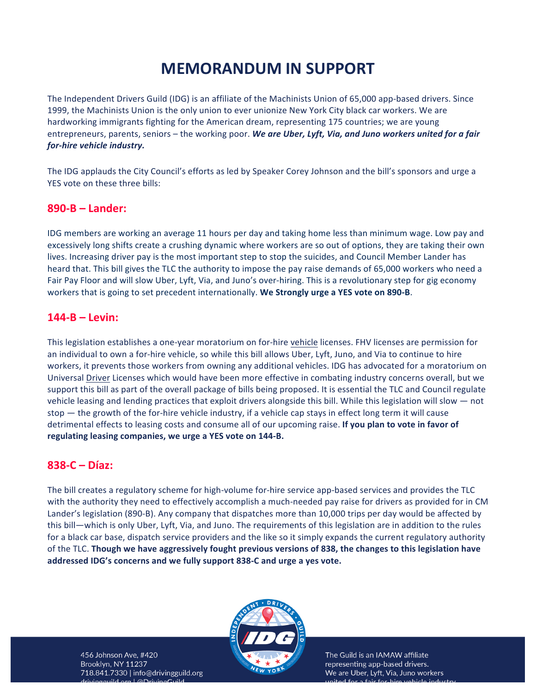# **MEMORANDUM IN SUPPORT**

The Independent Drivers Guild (IDG) is an affiliate of the Machinists Union of 65,000 app-based drivers. Since 1999, the Machinists Union is the only union to ever unionize New York City black car workers. We are hardworking immigrants fighting for the American dream, representing 175 countries; we are young entrepreneurs, parents, seniors - the working poor. We are Uber, Lyft, Via, and Juno workers united for a fair *for-hire* vehicle industry.

The IDG applauds the City Council's efforts as led by Speaker Corey Johnson and the bill's sponsors and urge a YES vote on these three bills:

### **890-B – Lander:**

IDG members are working an average 11 hours per day and taking home less than minimum wage. Low pay and excessively long shifts create a crushing dynamic where workers are so out of options, they are taking their own lives. Increasing driver pay is the most important step to stop the suicides, and Council Member Lander has heard that. This bill gives the TLC the authority to impose the pay raise demands of 65,000 workers who need a Fair Pay Floor and will slow Uber, Lyft, Via, and Juno's over-hiring. This is a revolutionary step for gig economy workers that is going to set precedent internationally. We Strongly urge a YES vote on 890-B.

## **144-B – Levin:**

This legislation establishes a one-year moratorium on for-hire vehicle licenses. FHV licenses are permission for an individual to own a for-hire vehicle, so while this bill allows Uber, Lyft, Juno, and Via to continue to hire workers, it prevents those workers from owning any additional vehicles. IDG has advocated for a moratorium on Universal Driver Licenses which would have been more effective in combating industry concerns overall, but we support this bill as part of the overall package of bills being proposed. It is essential the TLC and Council regulate vehicle leasing and lending practices that exploit drivers alongside this bill. While this legislation will slow  $-$  not stop  $-$  the growth of the for-hire vehicle industry, if a vehicle cap stays in effect long term it will cause detrimental effects to leasing costs and consume all of our upcoming raise. If you plan to vote in favor of regulating leasing companies, we urge a YES vote on 144-B.

#### **838-C – Díaz:**

The bill creates a regulatory scheme for high-volume for-hire service app-based services and provides the TLC with the authority they need to effectively accomplish a much-needed pay raise for drivers as provided for in CM Lander's legislation (890-B). Any company that dispatches more than 10,000 trips per day would be affected by this bill—which is only Uber, Lyft, Via, and Juno. The requirements of this legislation are in addition to the rules for a black car base, dispatch service providers and the like so it simply expands the current regulatory authority of the TLC. Though we have aggressively fought previous versions of 838, the changes to this legislation have addressed IDG's concerns and we fully support 838-C and urge a yes vote.



The Guild is an IAMAW affiliate representing app-based drivers. We are Uber, Lyft, Via, Juno workers pitod for a fair for biro vobiclo induct

456 Johnson Ave, #420 Brooklyn, NY 11237 718.841.7330 | info@drivingguild.org  $\sigma$